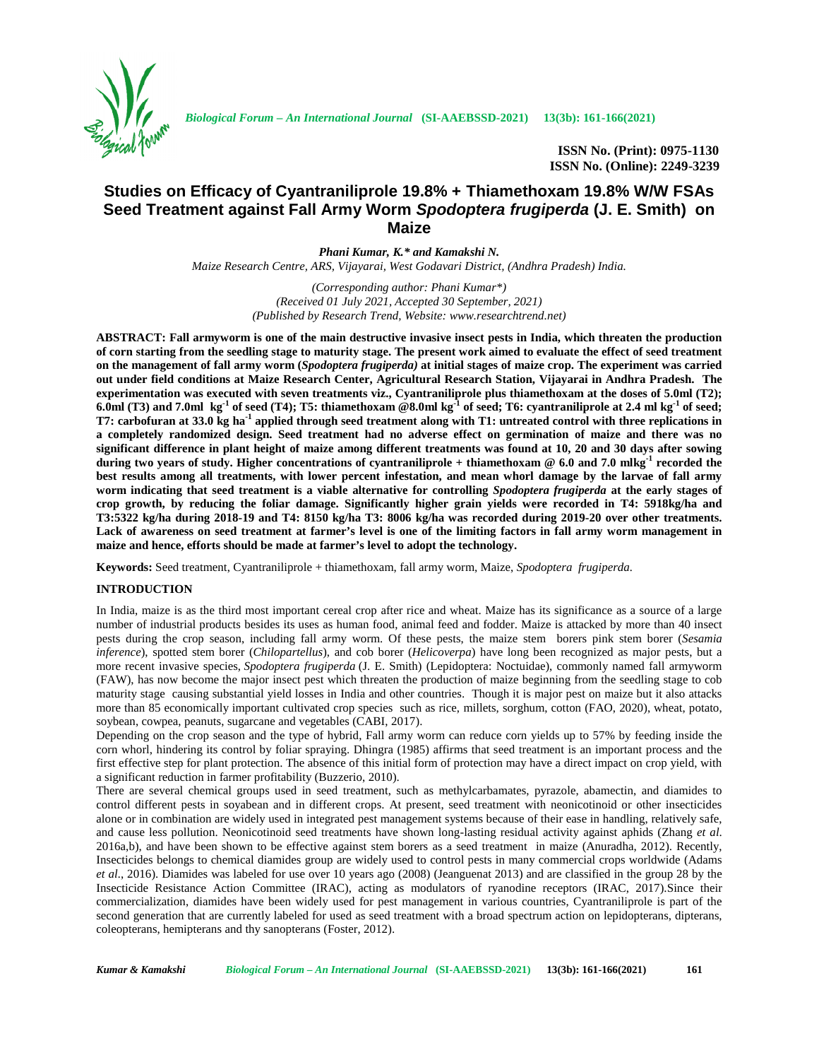

**ISSN No. (Print): 0975-1130 ISSN No. (Online): 2249-3239**

# **Studies on Efficacy of Cyantraniliprole 19.8% + Thiamethoxam 19.8% W/W FSAs Seed Treatment against Fall Army Worm** *Spodoptera frugiperda* **(J. E. Smith) on Maize**

*Phani Kumar, K.\* and Kamakshi N. Maize Research Centre, ARS, Vijayarai, West Godavari District, (Andhra Pradesh) India.*

> *(Corresponding author: Phani Kumar\*) (Received 01 July 2021, Accepted 30 September, 2021) (Published by Research Trend, Website: <www.researchtrend.net>)*

**ABSTRACT: Fall armyworm is one of the main destructive invasive insect pests in India, which threaten the production of corn starting from the seedling stage to maturity stage. The present work aimed to evaluate the effect of seed treatment on the management of fall army worm (***Spodoptera frugiperda)* **at initial stages of maize crop. The experiment was carried out under field conditions at Maize Research Center, Agricultural Research Station, Vijayarai in Andhra Pradesh. The experimentation was executed with seven treatments viz., Cyantraniliprole plus thiamethoxam at the doses of 5.0ml (T2);** 6.0ml (T3) and 7.0ml  $kg^{-1}$  of seed (T4); T5: thiamethoxam @8.0ml  $kg^{-1}$  of seed; T6: cvantraniliprole at 2.4 ml  $kg^{-1}$  of seed; **T7: carbofuran at 33.0 kg ha-1 applied through seed treatment along with T1: untreated control with three replications in a completely randomized design. Seed treatment had no adverse effect on germination of maize and there was no significant difference in plant height of maize among different treatments was found at 10, 20 and 30 days after sowing during two years of study. Higher concentrations of cyantraniliprole + thiamethoxam @ 6.0 and 7.0 mlkg-1 recorded the best results among all treatments, with lower percent infestation, and mean whorl damage by the larvae of fall army worm indicating that seed treatment is a viable alternative for controlling** *Spodoptera frugiperda* **at the early stages of crop growth, by reducing the foliar damage. Significantly higher grain yields were recorded in T4: 5918kg/ha and T3:5322 kg/ha during 2018-19 and T4: 8150 kg/ha T3: 8006 kg/ha was recorded during 2019-20 over other treatments. Lack of awareness on seed treatment at farmer's level is one of the limiting factors in fall army worm management in maize and hence, efforts should be made at farmer's level to adopt the technology.**

**Keywords:** Seed treatment, Cyantraniliprole + thiamethoxam, fall army worm, Maize, *Spodoptera frugiperda.*

## **INTRODUCTION**

In India, maize is as the third most important cereal crop after rice and wheat. Maize has its significance as a source of a large number of industrial products besides its uses as human food, animal feed and fodder. Maize is attacked by more than 40 insect pests during the crop season, including fall army worm. Of these pests, the maize stem borers pink stem borer (*Sesamia inference*), spotted stem borer (*Chilopartellus*), and cob borer (*Helicoverpa*) have long been recognized as major pests, but a more recent invasive species, *Spodoptera frugiperda* (J. E. Smith) (Lepidoptera: Noctuidae), commonly named fall armyworm (FAW), has now become the major insect pest which threaten the production of maize beginning from the seedling stage to cob maturity stage causing substantial yield losses in India and other countries. Though it is major pest on maize but it also attacks more than 85 economically important cultivated crop species such as rice, millets, sorghum, cotton (FAO, 2020), wheat, potato, soybean, cowpea, peanuts, sugarcane and vegetables (CABI, 2017).

Depending on the crop season and the type of hybrid, Fall army worm can reduce corn yields up to 57% by feeding inside the corn whorl, hindering its control by foliar spraying. Dhingra (1985) affirms that seed treatment is an important process and the first effective step for plant protection. The absence of this initial form of protection may have a direct impact on crop yield, with a significant reduction in farmer profitability (Buzzerio, 2010).

There are several chemical groups used in seed treatment, such as methylcarbamates, pyrazole, abamectin, and diamides to control different pests in soyabean and in different crops. At present, seed treatment with neonicotinoid or other insecticides alone or in combination are widely used in integrated pest management systems because of their ease in handling, relatively safe, and cause less pollution. Neonicotinoid seed treatments have shown long-lasting residual activity against aphids (Zhang *et al*. 2016a,b), and have been shown to be effective against stem borers as a seed treatment in maize (Anuradha, 2012). Recently, Insecticides belongs to chemical diamides group are widely used to control pests in many commercial crops worldwide (Adams *et al.*, 2016). Diamides was labeled for use over 10 years ago (2008) (Jeanguenat 2013) and are classified in the group 28 by the Insecticide Resistance Action Committee (IRAC), acting as modulators of ryanodine receptors (IRAC, 2017).Since their commercialization, diamides have been widely used for pest management in various countries, Cyantraniliprole is part of the second generation that are currently labeled for used as seed treatment with a broad spectrum action on lepidopterans, dipterans, coleopterans, hemipterans and thy sanopterans (Foster, 2012).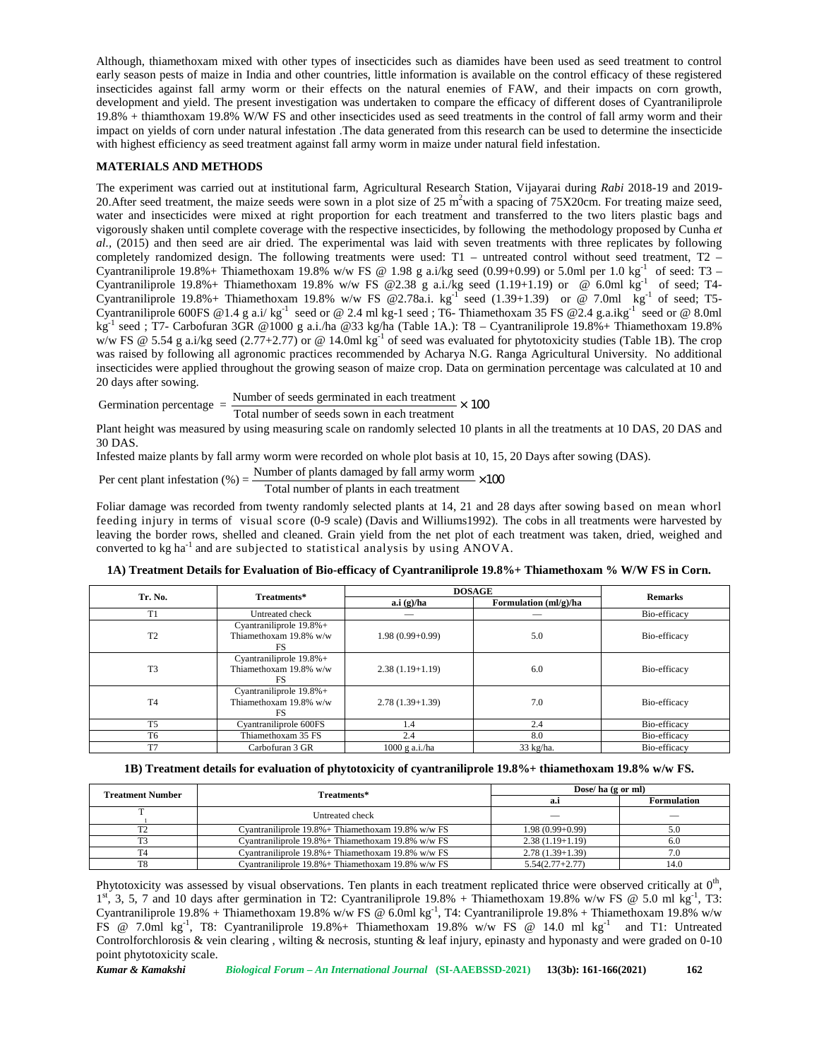Although, thiamethoxam mixed with other types of insecticides such as diamides have been used as seed treatment to control early season pests of maize in India and other countries, little information is available on the control efficacy of these registered insecticides against fall army worm or their effects on the natural enemies of FAW, and their impacts on corn growth, development and yield. The present investigation was undertaken to compare the efficacy of different doses of Cyantraniliprole 19.8% + thiamthoxam 19.8% W/W FS and other insecticides used as seed treatments in the control of fall army worm and their impact on yields of corn under natural infestation .The data generated from this research can be used to determine the insecticide with highest efficiency as seed treatment against fall army worm in maize under natural field infestation.

# **MATERIALS AND METHODS**

The experiment was carried out at institutional farm, Agricultural Research Station, Vijayarai during *Rabi* 2018-19 and 2019- 20. After seed treatment, the maize seeds were sown in a plot size of  $25 \text{ m}^2$  with a spacing of  $75 \text{X} 20 \text{cm}$ . For treating maize seed, water and insecticides were mixed at right proportion for each treatment and transferred to the two liters plastic bags and vigorously shaken until complete coverage with the respective insecticides, by following the methodology proposed by Cunha *et al.,* (2015) and then seed are air dried. The experimental was laid with seven treatments with three replicates by following completely randomized design. The following treatments were used: T1 – untreated control without seed treatment, T2 – Cyantraniliprole 19.8% + Thiamethoxam 19.8% w/w FS @ 1.98 g a.i/kg seed (0.99+0.99) or 5.0ml per 1.0 kg<sup>-1</sup> of seed: T3 – Cyantraniliprole 19.8%+ Thiamethoxam 19.8% w/w FS @2.38 g a.i./kg seed (1.19+1.19) or @ 6.0ml  $\text{kg}^{-1}$  of seed; T4-Cyantraniliprole 19.8%+ Thiamethoxam 19.8% w/w FS @2.78a.i. kg<sup>-1</sup> seed (1.39+1.39) or @ 7.0ml  $\bar{kg}^{-1}$  of seed; T5-Cyantraniliprole 600FS @1.4 g a.i/ kg<sup>-1</sup> seed or @ 2.4 ml kg-1 seed; T6- Thiamethoxam 35 FS @2.4 g.a.ikg<sup>-1</sup> seed or @ 8.0ml kg<sup>-1</sup> seed ; T7- Carbofuran 3GR @1000 g a.i./ha @33 kg/ha (Table 1A.): T8 - Cyantraniliprole 19.8%+ Thiamethoxam 19.8% w/w FS @ 5.54 g a.i/kg seed (2.77+2.77) or @ 14.0ml kg<sup>-1</sup> of seed was evaluated for phytotoxicity studies (Table 1B). The crop was raised by following all agronomic practices recommended by Acharya N.G. Ranga Agricultural University. No additional insecticides were applied throughout the growing season of maize crop. Data on germination percentage was calculated at 10 and 20 days after sowing. treatments in the control of fall army worm<br>this research can be used to determine the is<br>nder natural field infestation.<br>ch Station, Vijayarai during *Rabi* 2018-19 is<br><sup>2</sup>with a spacing of 75X20cm. For treating m<br>t and t

Germination percentage =  $\frac{\text{Number of seeds germinated in each treatment}}{\text{Total number of seeds sown in each treatment}} \times 100$ 

Plant height was measured by using measuring scale on randomly selected 10 plants in all the treatments at 10 DAS, 20 DAS and 30 DAS.

Infested maize plants by fall army worm were recorded on whole plot basis at 10, 15, 20 Days after sowing (DAS).

Per cent plant infestation (
$$
\%
$$
) =  $\frac{\text{Number of plants damaged by fall army worm}}{\text{×100}}$ 

Per cent plant infestation (%) =  $\frac{1}{\text{Total number of plants in each treatment}}$ 

Foliar damage was recorded from twenty randomly selected plants at 14, 21 and 28 days after sowing based on mean whorl feeding injury in terms of visual score (0-9 scale) (Davis and Williums1992). The cobs in all treatments were harvested by leaving the border rows, shelled and cleaned. Grain yield from the net plot of each treatment was taken, dried, weighed and converted to kg ha-1 and are subjected to statistical analysis by using ANOVA.

| 1A) Treatment Details for Evaluation of Bio-efficacy of Cyantraniliprole 19.8%+ Thiamethoxam % W/W FS in Corn. |  |
|----------------------------------------------------------------------------------------------------------------|--|
|                                                                                                                |  |

| Tr. No.        | Treatments*                                                     | <b>DOSAGE</b>     | <b>Remarks</b>                      |              |
|----------------|-----------------------------------------------------------------|-------------------|-------------------------------------|--------------|
|                |                                                                 | a.i(g)/ha         | Formulation $\text{mI/g}/\text{ha}$ |              |
| T <sub>1</sub> | Untreated check                                                 |                   | _                                   | Bio-efficacy |
| T <sub>2</sub> | Cyantraniliprole $19.8\%$ +<br>Thiamethoxam 19.8% w/w<br>FS     | $1.98(0.99+0.99)$ | 5.0                                 | Bio-efficacy |
| T <sub>3</sub> | Cyantraniliprole $19.8\%$ +<br>Thiamethoxam $19.8\%$ w/w<br>FS. | $2.38(1.19+1.19)$ | 6.0                                 | Bio-efficacy |
| T <sub>4</sub> | Cyantraniliprole $19.8\%$ +<br>Thiamethoxam 19.8% w/w<br>FS     | $2.78(1.39+1.39)$ | 7.0                                 | Bio-efficacy |
| T <sub>5</sub> | Cyantraniliprole 600FS                                          | 1.4               | 2.4                                 | Bio-efficacy |
| T <sub>6</sub> | Thiamethoxam 35 FS                                              | 2.4               | 8.0                                 | Bio-efficacy |
| T <sub>7</sub> | Carbofuran 3 GR                                                 | $1000$ g a.i./ha  | $33 \text{ kg/ha}.$                 | Bio-efficacy |

| 1B) Treatment details for evaluation of phytotoxicity of cyantraniliprole 19.8% + thiamethoxam 19.8% w/w FS. |
|--------------------------------------------------------------------------------------------------------------|
|--------------------------------------------------------------------------------------------------------------|

| <b>Treatment Number</b> | Treatments*                                        | Dose/ha $(g \text{ or } ml)$ |                    |  |  |
|-------------------------|----------------------------------------------------|------------------------------|--------------------|--|--|
|                         |                                                    | a.ı                          | <b>Formulation</b> |  |  |
|                         | Untreated check                                    |                              |                    |  |  |
| T <sub>2</sub>          | Cvantraniliprole 19.8% + Thiamethoxam 19.8% w/w FS | $1.98(0.99+0.99)$            | 5.0                |  |  |
| T3                      | Cvantraniliprole 19.8% + Thiamethoxam 19.8% w/w FS | $2.38(1.19+1.19)$            | 6.0                |  |  |
| T <sub>4</sub>          | Cvantraniliprole 19.8% + Thiamethoxam 19.8% w/w FS | $2.78(1.39+1.39)$            | 7.0                |  |  |
| T8                      | Cyantraniliprole 19.8% + Thiamethoxam 19.8% w/w FS | $5.54(2.77+2.77)$            | 14.0               |  |  |

Phytotoxicity was assessed by visual observations. Ten plants in each treatment replicated thrice were observed critically at  $0<sup>th</sup>$ , ,  $1<sup>st</sup>$ , 3, 5, 7 and 10 days after germination in T2: Cyantraniliprole 19.8% + Thiamethoxam 19.8% w/w FS @ 5.0 ml kg<sup>-1</sup>, T3: Cyantraniliprole 19.8% + Thiamethoxam 19.8% w/w FS @ 6.0ml kg<sup>-1</sup>, T4: Cyantraniliprole 19.8% + Thiamethoxam 19.8% w/w FS @ 7.0ml kg-1 , T8: Cyantraniliprole 19.8%+ Thiamethoxam 19.8% w/w FS @ 14.0 ml kg-1 and T1: Untreated Controlforchlorosis & vein clearing , wilting & necrosis, stunting & leaf injury, epinasty and hyponasty and were graded on 0-10 point phytotoxicity scale.

*Kumar & Kamakshi Biological Forum – An International Journal* **(SI-AAEBSSD-2021) 13(3b): 161-166(2021) 162**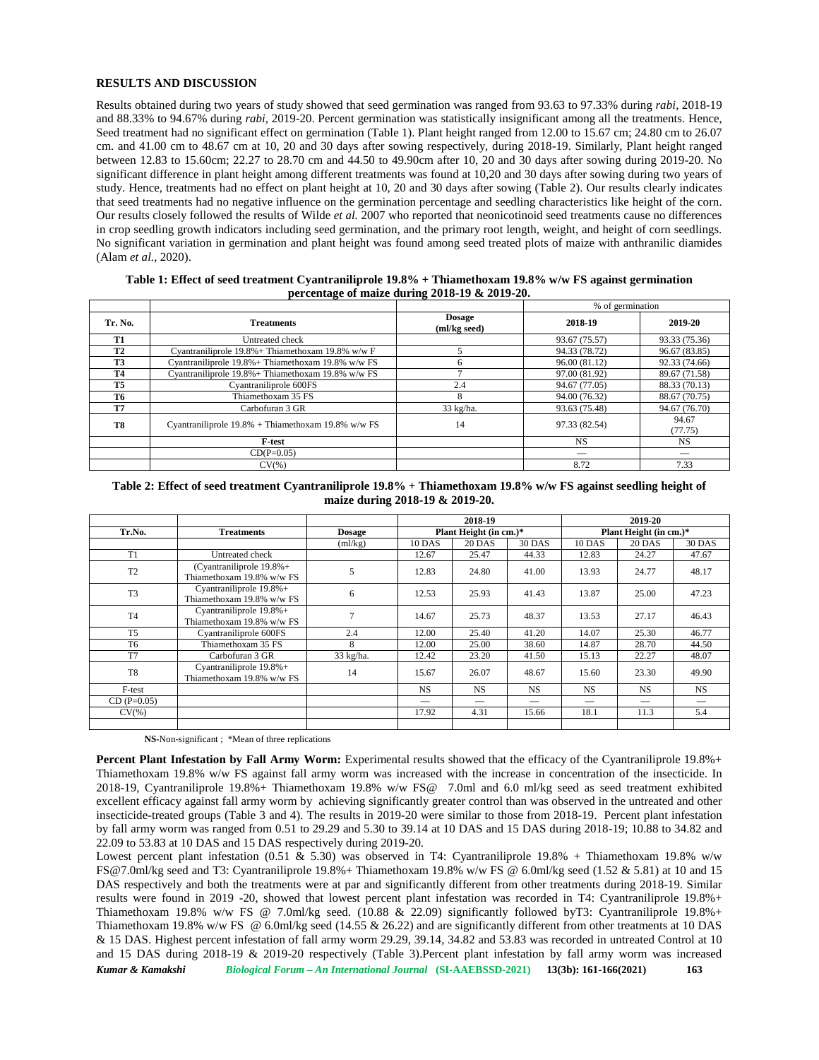## **RESULTS AND DISCUSSION**

Results obtained during two years of study showed that seed germination was ranged from 93.63 to 97.33% during *rabi*, 2018-19 and 88.33% to 94.67% during *rabi,* 2019-20. Percent germination was statistically insignificant among all the treatments. Hence, Seed treatment had no significant effect on germination (Table 1). Plant height ranged from 12.00 to 15.67 cm; 24.80 cm to 26.07 cm. and 41.00 cm to 48.67 cm at 10, 20 and 30 days after sowing respectively, during 2018-19. Similarly, Plant height ranged between 12.83 to 15.60cm; 22.27 to 28.70 cm and 44.50 to 49.90cm after 10, 20 and 30 days after sowing during 2019-20. No significant difference in plant height among different treatments was found at 10,20 and 30 days after sowing during two years of study. Hence, treatments had no effect on plant height at 10, 20 and 30 days after sowing (Table 2). Our results clearly indicates that seed treatments had no negative influence on the germination percentage and seedling characteristics like height of the corn. Our results closely followed the results of Wilde *et al.* 2007 who reported that neonicotinoid seed treatments cause no differences in crop seedling growth indicators including seed germination, and the primary root length, weight, and height of corn seedlings. No significant variation in germination and plant height was found among seed treated plots of maize with anthranilic diamides (Alam *et al.,* 2020).

|           |                                                       |                               | % of germination |                  |  |  |
|-----------|-------------------------------------------------------|-------------------------------|------------------|------------------|--|--|
| Tr. No.   | <b>Treatments</b>                                     | <b>Dosage</b><br>(ml/kg seed) | 2018-19          | 2019-20          |  |  |
| T1        | Untreated check                                       |                               | 93.67 (75.57)    | 93.33 (75.36)    |  |  |
| <b>T2</b> | Cyantraniliprole $19.8\%$ + Thiamethoxam 19.8% w/w F  |                               | 94.33 (78.72)    | 96.67 (83.85)    |  |  |
| <b>T3</b> | Cyantraniliprole $19.8\%$ + Thiamethoxam 19.8% w/w FS |                               | 96.00 (81.12)    | 92.33 (74.66)    |  |  |
| <b>T4</b> | Cyantraniliprole $19.8\%$ + Thiamethoxam 19.8% w/w FS |                               | 97.00 (81.92)    | 89.67 (71.58)    |  |  |
| <b>T5</b> | Cyantraniliprole 600FS                                | 2.4                           | 94.67 (77.05)    | 88.33 (70.13)    |  |  |
| T6        | Thiamethoxam 35 FS                                    |                               | 94.00 (76.32)    | 88.67 (70.75)    |  |  |
| T7        | Carbofuran 3 GR                                       | 33 kg/ha.                     | 93.63 (75.48)    | 94.67 (76.70)    |  |  |
| T8        | Cyantraniliprole $19.8\%$ + Thiamethoxam 19.8% w/w FS | 14                            | 97.33 (82.54)    | 94.67<br>(77.75) |  |  |
|           | <b>F-test</b>                                         |                               | <b>NS</b>        | <b>NS</b>        |  |  |
|           | $CD(P=0.05)$                                          |                               |                  |                  |  |  |
|           | $CV(\%)$                                              |                               | 8.72             | 7.33             |  |  |

**Table 1: Effect of seed treatment Cyantraniliprole 19.8% + Thiamethoxam 19.8% w/w FS against germination percentage of maize during 2018-19 & 2019-20.**

# **Table 2: Effect of seed treatment Cyantraniliprole 19.8% + Thiamethoxam 19.8% w/w FS against seedling height of maize during 2018-19 & 2019-20.**

|                |                                                           |                     | 2018-19       |                        | 2019-20       |               |                        |               |  |
|----------------|-----------------------------------------------------------|---------------------|---------------|------------------------|---------------|---------------|------------------------|---------------|--|
| Tr.No.         | <b>Treatments</b>                                         | <b>Dosage</b>       |               | Plant Height (in cm.)* |               |               | Plant Height (in cm.)* |               |  |
|                |                                                           | (ml/kg)             | <b>10 DAS</b> | <b>20 DAS</b>          | <b>30 DAS</b> | <b>10 DAS</b> | <b>20 DAS</b>          | <b>30 DAS</b> |  |
| T1             | Untreated check                                           |                     | 12.67         | 25.47                  | 44.33         | 12.83         | 24.27                  | 47.67         |  |
| T <sub>2</sub> | (Cyantraniliprole $19.8\%$ +<br>Thiamethoxam 19.8% w/w FS | 5                   | 12.83         | 24.80                  | 41.00         | 13.93         | 24.77                  | 48.17         |  |
| T <sub>3</sub> | Cyantraniliprole $19.8\%$ +<br>Thiamethoxam 19.8% w/w FS  | 6                   | 12.53         | 25.93                  | 41.43         | 13.87         | 25.00                  | 47.23         |  |
| T <sub>4</sub> | Cyantraniliprole $19.8\%$ +<br>Thiamethoxam 19.8% w/w FS  | 7                   | 14.67         | 25.73                  | 48.37         | 13.53         | 27.17                  | 46.43         |  |
| T <sub>5</sub> | Cyantraniliprole 600FS                                    | 2.4                 | 12.00         | 25.40                  | 41.20         | 14.07         | 25.30                  | 46.77         |  |
| T <sub>6</sub> | Thiamethoxam 35 FS                                        | 8                   | 12.00         | 25.00                  | 38.60         | 14.87         | 28.70                  | 44.50         |  |
| T7             | Carbofuran 3 GR                                           | $33 \text{ kg/ha}.$ | 12.42         | 23.20                  | 41.50         | 15.13         | 22.27                  | 48.07         |  |
| T <sub>8</sub> | Cyantraniliprole 19.8%+<br>Thiamethoxam 19.8% w/w FS      | 14                  | 15.67         | 26.07                  | 48.67         | 15.60         | 23.30                  | 49.90         |  |
| F-test         |                                                           |                     | <b>NS</b>     | <b>NS</b>              | <b>NS</b>     | <b>NS</b>     | <b>NS</b>              | <b>NS</b>     |  |
| $CD(P=0.05)$   |                                                           |                     |               |                        | _             |               |                        |               |  |
| $CV(\%)$       |                                                           |                     | 17.92         | 4.31                   | 15.66         | 18.1          | 11.3                   | 5.4           |  |
|                |                                                           |                     |               |                        |               |               |                        |               |  |

**NS-**Non-significant ; \*Mean of three replications

**Percent Plant Infestation by Fall Army Worm:** Experimental results showed that the efficacy of the Cyantraniliprole 19.8%+ Thiamethoxam 19.8% w/w FS against fall army worm was increased with the increase in concentration of the insecticide. In 2018-19, Cyantraniliprole 19.8%+ Thiamethoxam 19.8% w/w FS@ 7.0ml and 6.0 ml/kg seed as seed treatment exhibited excellent efficacy against fall army worm by achieving significantly greater control than was observed in the untreated and other insecticide-treated groups (Table 3 and 4). The results in 2019-20 were similar to those from 2018-19. Percent plant infestation by fall army worm was ranged from  $0.51$  to  $29.29$  and  $5.30$  to  $39.14$  at 10 DAS and 15 DAS during  $2018-19$ ; 10.88 to  $34.82$  and 22.09 to 53.83 at 10 DAS and 15 DAS respectively during 2019-20.

Lowest percent plant infestation (0.51 & 5.30) was observed in T4: Cyantraniliprole 19.8% + Thiamethoxam 19.8% w/w [FS@7.0ml/](mailto:FS@7.0ml)kg seed and T3: Cyantraniliprole 19.8% + Thiamethoxam 19.8% w/w FS @ 6.0ml/kg seed (1.52  $\&$  5.81) at 10 and 15 DAS respectively and both the treatments were at par and significantly different from other treatments during 2018-19. Similar results were found in 2019 -20, showed that lowest percent plant infestation was recorded in T4: Cyantraniliprole 19.8%+ Thiamethoxam 19.8% w/w FS @ 7.0ml/kg seed. (10.88 & 22.09) significantly followed byT3: Cyantraniliprole 19.8%+ Thiamethoxam 19.8% w/w FS  $\omega$  6.0ml/kg seed (14.55 & 26.22) and are significantly different from other treatments at 10 DAS & 15 DAS. Highest percent infestation of fall army worm 29.29, 39.14, 34.82 and 53.83 was recorded in untreated Control at 10 and 15 DAS during 2018-19 & 2019-20 respectively (Table 3).Percent plant infestation by fall army worm was increased

*Kumar & Kamakshi Biological Forum – An International Journal* **(SI-AAEBSSD-2021) 13(3b): 161-166(2021) 163**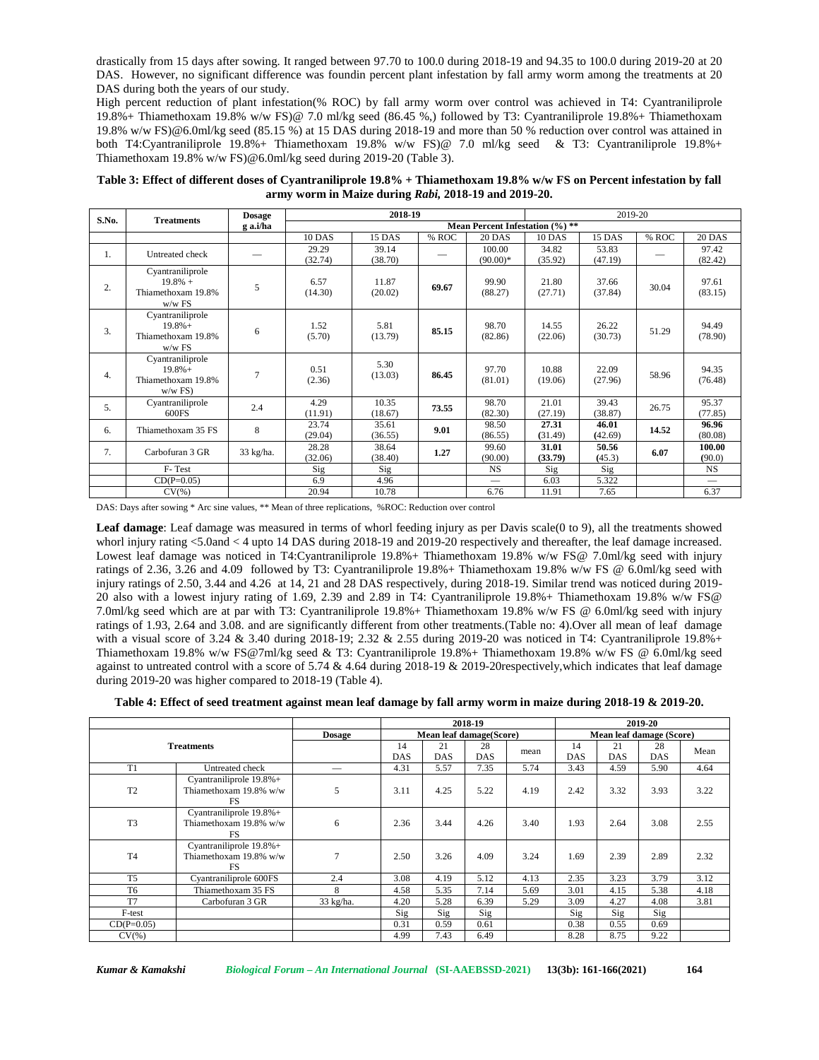drastically from 15 days after sowing. It ranged between 97.70 to 100.0 during 2018-19 and 94.35 to 100.0 during 2019-20 at 20 DAS. However, no significant difference was foundin percent plant infestation by fall army worm among the treatments at 20 DAS during both the years of our study.

High percent reduction of plant infestation(% ROC) by fall army worm over control was achieved in T4: Cyantraniliprole 19.8%+ Thiamethoxam 19.8% w/w FS)@ 7.0 ml/kg seed (86.45 %,) followed by T3: Cyantraniliprole 19.8%+ Thiamethoxam 19.8% w/w FS)@6.0ml/kg seed (85.15 %) at 15 DAS during 2018-19 and more than 50 % reduction over control was attained in both T4:Cyantraniliprole 19.8%+ Thiamethoxam 19.8% w/w FS)@ 7.0 ml/kg seed & T3: Cyantraniliprole 19.8%+ Thiamethoxam 19.8% w/w FS)@6.0ml/kg seed during 2019-20 (Table 3).

**Table 3: Effect of different doses of Cyantraniliprole 19.8% + Thiamethoxam 19.8% w/w FS on Percent infestation by fall army worm in Maize during** *Rabi,* **2018-19 and 2019-20.**

| S.No. | <b>Treatments</b>                                                 | <b>Dosage</b> | 2018-19          |                                 |       | 2019-20                               |                  |                  |       |                  |  |  |
|-------|-------------------------------------------------------------------|---------------|------------------|---------------------------------|-------|---------------------------------------|------------------|------------------|-------|------------------|--|--|
|       |                                                                   | g a.i/ha      |                  | Mean Percent Infestation (%) ** |       |                                       |                  |                  |       |                  |  |  |
|       |                                                                   |               | <b>10 DAS</b>    | 15 DAS                          | % ROC | <b>20 DAS</b>                         | <b>10 DAS</b>    | 15 DAS           | % ROC | <b>20 DAS</b>    |  |  |
| Ι.    | Untreated check                                                   |               | 29.29<br>(32.74) | 39.14<br>(38.70)                |       | 100.00<br>$(90.00)*$                  | 34.82<br>(35.92) | 53.83<br>(47.19) |       | 97.42<br>(82.42) |  |  |
| 2.    | Cyantraniliprole<br>$19.8\% +$<br>Thiamethoxam 19.8%<br>$w/w$ FS  | 5             | 6.57<br>(14.30)  | 11.87<br>(20.02)                | 69.67 | 99.90<br>(88.27)                      | 21.80<br>(27.71) | 37.66<br>(37.84) | 30.04 | 97.61<br>(83.15) |  |  |
| 3.    | Cyantraniliprole<br>$19.8\% +$<br>Thiamethoxam 19.8%<br>$w/w$ FS  | 6             | 1.52<br>(5.70)   | 5.81<br>(13.79)                 | 85.15 | 98.70<br>(82.86)                      | 14.55<br>(22.06) | 26.22<br>(30.73) | 51.29 | 94.49<br>(78.90) |  |  |
| 4.    | Cyantraniliprole<br>$19.8\% +$<br>Thiamethoxam 19.8%<br>$w/w$ FS) | 7             | 0.51<br>(2.36)   | 5.30<br>(13.03)                 | 86.45 | 97.70<br>(81.01)                      | 10.88<br>(19.06) | 22.09<br>(27.96) | 58.96 | 94.35<br>(76.48) |  |  |
| 5.    | Cyantraniliprole<br>600FS                                         | 2.4           | 4.29<br>(11.91)  | 10.35<br>(18.67)                | 73.55 | 98.70<br>(82.30)                      | 21.01<br>(27.19) | 39.43<br>(38.87) | 26.75 | 95.37<br>(77.85) |  |  |
| 6.    | Thiamethoxam 35 FS                                                | 8             | 23.74<br>(29.04) | 35.61<br>(36.55)                | 9.01  | 98.50<br>(86.55)                      | 27.31<br>(31.49) | 46.01<br>(42.69) | 14.52 | 96.96<br>(80.08) |  |  |
| 7.    | Carbofuran 3 GR                                                   | 33 kg/ha.     | 28.28<br>(32.06) | 38.64<br>(38.40)                | 1.27  | 99.60<br>(90.00)                      | 31.01<br>(33.79) | 50.56<br>(45.3)  | 6.07  | 100.00<br>(90.0) |  |  |
|       | F-Test                                                            |               | Sig              | Sig                             |       | <b>NS</b>                             | Sig              | Sig              |       | <b>NS</b>        |  |  |
|       | $CD(P=0.05)$                                                      |               | 6.9              | 4.96                            |       | $\hspace{1.0cm} \rule{1.5cm}{0.15cm}$ | 6.03             | 5.322            |       |                  |  |  |
|       | $CV(\%)$                                                          |               | 20.94            | 10.78                           |       | 6.76                                  | 11.91            | 7.65             |       | 6.37             |  |  |

DAS: Days after sowing \* Arc sine values, \*\* Mean of three replications, %ROC: Reduction over control

Leaf damage: Leaf damage was measured in terms of whorl feeding injury as per Davis scale(0 to 9), all the treatments showed whorl injury rating <5.0and < 4 upto 14 DAS during 2018-19 and 2019-20 respectively and thereafter, the leaf damage increased. Lowest leaf damage was noticed in T4:Cyantraniliprole 19.8% Thiamethoxam 19.8% w/w FS@ 7.0ml/kg seed with injury ratings of 2.36, 3.26 and 4.09 followed by T3: Cyantraniliprole 19.8%+ Thiamethoxam 19.8% w/w FS @ 6.0ml/kg seed with injury ratings of 2.50, 3.44 and 4.26 at 14, 21 and 28 DAS respectively, during 2018-19. Similar trend was noticed during 2019- 20 also with a lowest injury rating of 1.69, 2.39 and 2.89 in T4: Cyantraniliprole 19.8%+ Thiamethoxam 19.8% w/w FS@ 7.0ml/kg seed which are at par with T3: Cyantraniliprole 19.8%+ Thiamethoxam 19.8% w/w FS @ 6.0ml/kg seed with injury ratings of 1.93, 2.64 and 3.08. and are significantly different from other treatments.(Table no: 4).Over all mean of leaf damage with a visual score of 3.24 & 3.40 during 2018-19; 2.32 & 2.55 during 2019-20 was noticed in T4: Cyantraniliprole 19.8%+ Thiamethoxam 19.8% w/w FS@7ml/kg seed & T3: Cyantraniliprole 19.8%+ Thiamethoxam 19.8% w/w FS @ 6.0ml/kg seed against to untreated control with a score of 5.74 & 4.64 during 2018-19 & 2019-20respectively,which indicates that leaf damage during 2019-20 was higher compared to 2018-19 (Table 4).

**Table 4: Effect of seed treatment against mean leaf damage by fall army worm in maize during 2018-19 & 2019-20.**

|                   |                                                                |               |                         |           | 2018-19          |      |                  |                          | 2019-20   |      |  |
|-------------------|----------------------------------------------------------------|---------------|-------------------------|-----------|------------------|------|------------------|--------------------------|-----------|------|--|
|                   |                                                                | <b>Dosage</b> | Mean leaf damage(Score) |           |                  |      |                  | Mean leaf damage (Score) |           |      |  |
| <b>Treatments</b> |                                                                |               | 14<br>DAS               | 21<br>DAS | 28<br><b>DAS</b> | mean | 14<br><b>DAS</b> | 21<br><b>DAS</b>         | 28<br>DAS | Mean |  |
| T1                | Untreated check                                                | --            | 4.31                    | 5.57      | 7.35             | 5.74 | 3.43             | 4.59                     | 5.90      | 4.64 |  |
| T <sub>2</sub>    | Cyantraniliprole 19.8%+<br>Thiamethoxam 19.8% w/w<br><b>FS</b> | 5             | 3.11                    | 4.25      | 5.22             | 4.19 | 2.42             | 3.32                     | 3.93      | 3.22 |  |
| T <sub>3</sub>    | Cyantraniliprole $19.8\%$ +<br>Thiamethoxam 19.8% w/w<br>FS.   | 6             | 2.36                    | 3.44      | 4.26             | 3.40 | 1.93             | 2.64                     | 3.08      | 2.55 |  |
| T <sub>4</sub>    | Cyantraniliprole 19.8%+<br>Thiamethoxam 19.8% w/w<br><b>FS</b> | 7             | 2.50                    | 3.26      | 4.09             | 3.24 | 1.69             | 2.39                     | 2.89      | 2.32 |  |
| T <sub>5</sub>    | Cyantraniliprole 600FS                                         | 2.4           | 3.08                    | 4.19      | 5.12             | 4.13 | 2.35             | 3.23                     | 3.79      | 3.12 |  |
| T <sub>6</sub>    | Thiamethoxam 35 FS                                             | 8             | 4.58                    | 5.35      | 7.14             | 5.69 | 3.01             | 4.15                     | 5.38      | 4.18 |  |
| T <sub>7</sub>    | Carbofuran 3 GR                                                | 33 kg/ha.     | 4.20                    | 5.28      | 6.39             | 5.29 | 3.09             | 4.27                     | 4.08      | 3.81 |  |
| F-test            |                                                                |               | Sig                     | Sig       | Sig              |      | Sig              | Sig                      | Sig       |      |  |
| $CD(P=0.05)$      |                                                                |               | 0.31                    | 0.59      | 0.61             |      | 0.38             | 0.55                     | 0.69      |      |  |
| $CV(\%)$          |                                                                |               | 4.99                    | 7.43      | 6.49             |      | 8.28             | 8.75                     | 9.22      |      |  |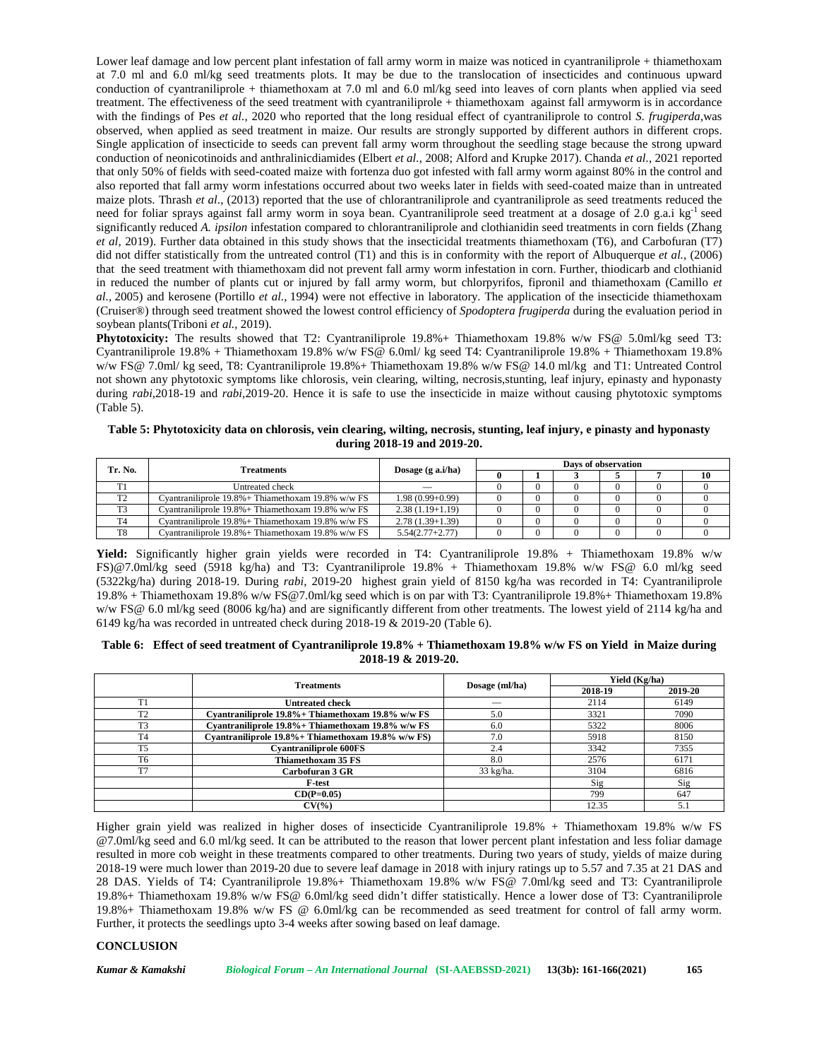Lower leaf damage and low percent plant infestation of fall army worm in maize was noticed in cyantraniliprole + thiamethoxam at 7.0 ml and 6.0 ml/kg seed treatments plots. It may be due to the translocation of insecticides and continuous upward conduction of cyantraniliprole + thiamethoxam at 7.0 ml and 6.0 ml/kg seed into leaves of corn plants when applied via seed treatment. The effectiveness of the seed treatment with cyantraniliprole + thiamethoxam against fall armyworm is in accordance with the findings of Pes *et al.,* 2020 who reported that the long residual effect of cyantraniliprole to control *S. frugiperda*,was observed, when applied as seed treatment in maize. Our results are strongly supported by different authors in different crops. Single application of insecticide to seeds can prevent fall army worm throughout the seedling stage because the strong upward conduction of neonicotinoids and anthralinicdiamides (Elbert *et al.*, 2008; Alford and Krupke 2017). Chanda *et al.,* 2021 reported that only 50% of fields with seed-coated maize with fortenza duo got infested with fall army worm against 80% in the control and also reported that fall army worm infestations occurred about two weeks later in fields with seed-coated maize than in untreated maize plots. Thrash *et al*., (2013) reported that the use of chlorantraniliprole and cyantraniliprole as seed treatments reduced the need for foliar sprays against fall army worm in soya bean. Cyantraniliprole seed treatment at a dosage of 2.0 g.a.i kg<sup>-1</sup> seed significantly reduced *A. ipsilon* infestation compared to chlorantraniliprole and clothianidin seed treatments in corn fields (Zhang *et al,* 2019). Further data obtained in this study shows that the insecticidal treatments thiamethoxam (T6), and Carbofuran (T7) did not differ statistically from the untreated control (T1) and this is in conformity with the report of Albuquerque *et al.,* (2006) that the seed treatment with thiamethoxam did not prevent fall army worm infestation in corn. Further, thiodicarb and clothianid in reduced the number of plants cut or injured by fall army worm, but chlorpyrifos, fipronil and thiamethoxam (Camillo *et al.,* 2005) and kerosene (Portillo *et al.,* 1994) were not effective in laboratory. The application of the insecticide thiamethoxam (Cruiser®) through seed treatment showed the lowest control efficiency of *Spodoptera frugiperda* during the evaluation period in soybean plants(Triboni *et al.,* 2019).

**Phytotoxicity:** The results showed that T2: Cyantraniliprole 19.8% + Thiamethoxam 19.8% w/w FS@ 5.0ml/kg seed T3: Cyantraniliprole 19.8% + Thiamethoxam 19.8% w/w FS@ 6.0ml/ kg seed T4: Cyantraniliprole 19.8% + Thiamethoxam 19.8% w/w FS@ 7.0ml/ kg seed, T8: Cyantraniliprole 19.8%+ Thiamethoxam 19.8% w/w FS@ 14.0 ml/kg and T1: Untreated Control not shown any phytotoxic symptoms like chlorosis, vein clearing, wilting, necrosis,stunting, leaf injury, epinasty and hyponasty during *rabi*,2018-19 and *rabi,*2019-20. Hence it is safe to use the insecticide in maize without causing phytotoxic symptoms (Table 5).

| Table 5: Phytotoxicity data on chlorosis, vein clearing, wilting, necrosis, stunting, leaf injury, e pinasty and hyponasty |  |
|----------------------------------------------------------------------------------------------------------------------------|--|
| during 2018-19 and 2019-20.                                                                                                |  |

| Tr. No.<br><b>Treatments</b> |                                                       |                            | Days of observation |  |  |  |  |    |  |
|------------------------------|-------------------------------------------------------|----------------------------|---------------------|--|--|--|--|----|--|
|                              |                                                       | Dosage $(g \nabla a.i/ha)$ |                     |  |  |  |  | 10 |  |
|                              | Untreated check                                       |                            |                     |  |  |  |  |    |  |
| T <sub>2</sub>               | Cvantraniliprole $19.8\%$ + Thiamethoxam 19.8% w/w FS | $1.98(0.99+0.99)$          |                     |  |  |  |  |    |  |
| T3                           | Cvantraniliprole 19.8% + Thiamethoxam 19.8% w/w FS    | $2.38(1.19+1.19)$          |                     |  |  |  |  |    |  |
| T4                           | Cvantraniliprole $19.8\%$ + Thiamethoxam 19.8% w/w FS | $2.78(1.39+1.39)$          |                     |  |  |  |  |    |  |
| T <sub>8</sub>               | Cvantraniliprole $19.8\%$ + Thiamethoxam 19.8% w/w FS | $5.54(2.77+2.77)$          |                     |  |  |  |  |    |  |

**Yield:** Significantly higher grain yields were recorded in T4: Cyantraniliprole 19.8% + Thiamethoxam 19.8% w/w FS)@7.0ml/kg seed (5918 kg/ha) and T3: Cyantraniliprole 19.8% + Thiamethoxam 19.8% w/w FS@ 6.0 ml/kg seed (5322kg/ha) during 2018-19. During *rabi,* 2019-20 highest grain yield of 8150 kg/ha was recorded in T4: Cyantraniliprole 19.8% + Thiamethoxam 19.8% w/w [FS@7.0ml](mailto:FS@7.0ml)/kg seed which is on par with T3:Cyantraniliprole 19.8%+ Thiamethoxam 19.8% w/w FS@ 6.0 ml/kg seed (8006 kg/ha) and are significantly different from other treatments. The lowest yield of 2114 kg/ha and 6149 kg/ha was recorded in untreated check during 2018-19 & 2019-20 (Table 6).

#### **Table 6: Effect of seed treatment of Cyantraniliprole 19.8% + Thiamethoxam 19.8% w/w FS on Yield in Maize during 2018-19 & 2019-20.**

|                | <b>Treatments</b>                                   | Dosage (ml/ha)      | Yield (Kg/ha) |         |
|----------------|-----------------------------------------------------|---------------------|---------------|---------|
|                |                                                     |                     | 2018-19       | 2019-20 |
| T1             | Untreated check                                     | _                   | 2114          | 6149    |
| T <sub>2</sub> | Cyantraniliprole 19.8% + Thiamethoxam 19.8% w/w FS  | 5.0                 | 3321          | 7090    |
| T <sub>3</sub> | Cyantraniliprole 19.8% + Thiamethoxam 19.8% w/w FS  | 6.0                 | 5322          | 8006    |
| T <sub>4</sub> | Cyantraniliprole 19.8% + Thiamethoxam 19.8% w/w FS) | 7.0                 | 5918          | 8150    |
| T <sub>5</sub> | <b>Cyantraniliprole 600FS</b>                       | 2.4                 | 3342          | 7355    |
| T <sub>6</sub> | Thiamethoxam 35 FS                                  | 8.0                 | 2576          | 6171    |
| T7             | Carbofuran 3 GR                                     | $33 \text{ kg/ha}.$ | 3104          | 6816    |
|                | F-test                                              |                     | Sig           | Sig     |
|                | $CD(P=0.05)$                                        |                     | 799           | 647     |
|                | $CV(\% )$                                           |                     | 12.35         |         |

Higher grain yield was realized in higher doses of insecticide Cyantraniliprole 19.8% + Thiamethoxam 19.8% w/w FS @7.0ml/kg seed and 6.0 ml/kg seed. It can be attributed to the reason that lower percent plant infestation and less foliar damage resulted in more cob weight in these treatments compared to other treatments. During two years of study, yields of maize during 2018-19 were much lower than 2019-20 due to severe leaf damage in 2018 with injury ratings up to 5.57 and 7.35 at 21 DAS and 28 DAS. Yields of T4: Cyantraniliprole 19.8%+ Thiamethoxam 19.8% w/w FS@ 7.0ml/kg seed and T3: Cyantraniliprole 19.8%+ Thiamethoxam 19.8% w/w FS@ 6.0ml/kg seed didn't differ statistically. Hence a lower dose of T3: Cyantraniliprole 19.8%+ Thiamethoxam 19.8% w/w FS @ 6.0ml/kg can be recommended as seed treatment for control of fall army worm. Further, it protects the seedlings upto 3-4 weeks after sowing based on leaf damage.

## **CONCLUSION**

*Kumar & Kamakshi Biological Forum – An International Journal* **(SI-AAEBSSD-2021) 13(3b): 161-166(2021) 165**